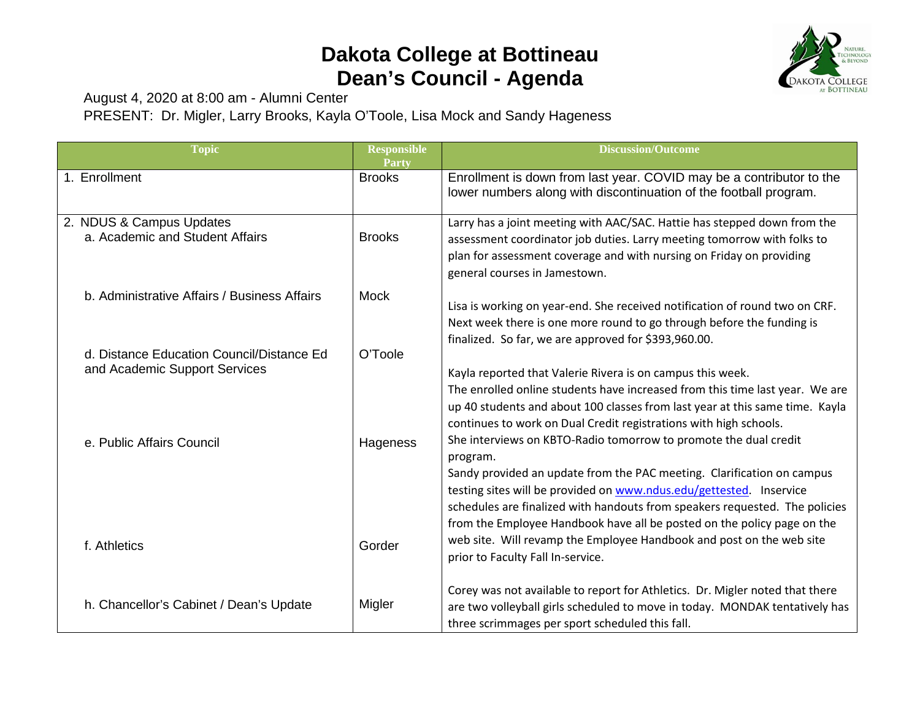## **Dakota College at Bottineau Dean's Council - Agenda**



August 4, 2020 at 8:00 am - Alumni Center PRESENT: Dr. Migler, Larry Brooks, Kayla O'Toole, Lisa Mock and Sandy Hageness

| <b>Topic</b>                                                               | <b>Responsible</b><br>Party | <b>Discussion/Outcome</b>                                                                                                                                                                                                                                                                                                                                                                                                                                                                                                                         |
|----------------------------------------------------------------------------|-----------------------------|---------------------------------------------------------------------------------------------------------------------------------------------------------------------------------------------------------------------------------------------------------------------------------------------------------------------------------------------------------------------------------------------------------------------------------------------------------------------------------------------------------------------------------------------------|
| 1. Enrollment                                                              | <b>Brooks</b>               | Enrollment is down from last year. COVID may be a contributor to the<br>lower numbers along with discontinuation of the football program.                                                                                                                                                                                                                                                                                                                                                                                                         |
| 2. NDUS & Campus Updates<br>a. Academic and Student Affairs                | <b>Brooks</b>               | Larry has a joint meeting with AAC/SAC. Hattie has stepped down from the<br>assessment coordinator job duties. Larry meeting tomorrow with folks to<br>plan for assessment coverage and with nursing on Friday on providing<br>general courses in Jamestown.                                                                                                                                                                                                                                                                                      |
| b. Administrative Affairs / Business Affairs                               | <b>Mock</b>                 | Lisa is working on year-end. She received notification of round two on CRF.<br>Next week there is one more round to go through before the funding is<br>finalized. So far, we are approved for \$393,960.00.                                                                                                                                                                                                                                                                                                                                      |
| d. Distance Education Council/Distance Ed<br>and Academic Support Services | O'Toole                     | Kayla reported that Valerie Rivera is on campus this week.                                                                                                                                                                                                                                                                                                                                                                                                                                                                                        |
| e. Public Affairs Council                                                  | Hageness                    | The enrolled online students have increased from this time last year. We are<br>up 40 students and about 100 classes from last year at this same time. Kayla<br>continues to work on Dual Credit registrations with high schools.<br>She interviews on KBTO-Radio tomorrow to promote the dual credit<br>program.<br>Sandy provided an update from the PAC meeting. Clarification on campus<br>testing sites will be provided on www.ndus.edu/gettested. Inservice<br>schedules are finalized with handouts from speakers requested. The policies |
| f. Athletics                                                               | Gorder                      | from the Employee Handbook have all be posted on the policy page on the<br>web site. Will revamp the Employee Handbook and post on the web site<br>prior to Faculty Fall In-service.                                                                                                                                                                                                                                                                                                                                                              |
| h. Chancellor's Cabinet / Dean's Update                                    | Migler                      | Corey was not available to report for Athletics. Dr. Migler noted that there<br>are two volleyball girls scheduled to move in today. MONDAK tentatively has<br>three scrimmages per sport scheduled this fall.                                                                                                                                                                                                                                                                                                                                    |